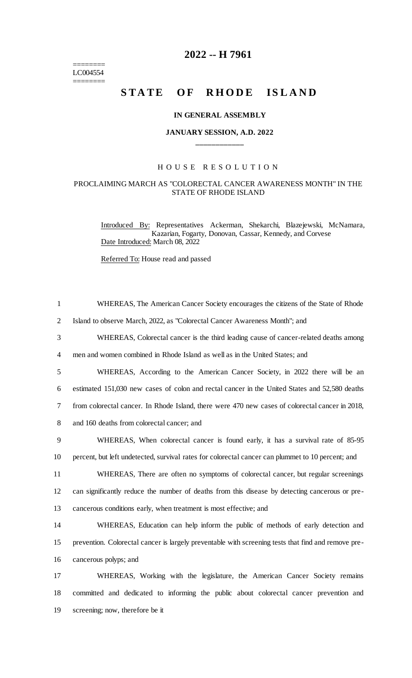======== LC004554 ========

# **2022 -- H 7961**

# **STATE OF RHODE ISLAND**

#### **IN GENERAL ASSEMBLY**

## **JANUARY SESSION, A.D. 2022 \_\_\_\_\_\_\_\_\_\_\_\_**

### H O U S E R E S O L U T I O N

#### PROCLAIMING MARCH AS "COLORECTAL CANCER AWARENESS MONTH" IN THE STATE OF RHODE ISLAND

Introduced By: Representatives Ackerman, Shekarchi, Blazejewski, McNamara, Kazarian, Fogarty, Donovan, Cassar, Kennedy, and Corvese Date Introduced: March 08, 2022

Referred To: House read and passed

| $\mathbf{1}$   | WHEREAS, The American Cancer Society encourages the citizens of the State of Rhode                  |
|----------------|-----------------------------------------------------------------------------------------------------|
| $\overline{2}$ | Island to observe March, 2022, as "Colorectal Cancer Awareness Month"; and                          |
| 3              | WHEREAS, Colorectal cancer is the third leading cause of cancer-related deaths among                |
| 4              | men and women combined in Rhode Island as well as in the United States; and                         |
| 5              | WHEREAS, According to the American Cancer Society, in 2022 there will be an                         |
| 6              | estimated 151,030 new cases of colon and rectal cancer in the United States and 52,580 deaths       |
| 7              | from colorectal cancer. In Rhode Island, there were 470 new cases of colorectal cancer in 2018,     |
| 8              | and 160 deaths from colorectal cancer; and                                                          |
| 9              | WHEREAS, When colorectal cancer is found early, it has a survival rate of 85-95                     |
| 10             | percent, but left undetected, survival rates for colorectal cancer can plummet to 10 percent; and   |
| 11             | WHEREAS, There are often no symptoms of colorectal cancer, but regular screenings                   |
| 12             | can significantly reduce the number of deaths from this disease by detecting cancerous or pre-      |
| 13             | cancerous conditions early, when treatment is most effective; and                                   |
| 14             | WHEREAS, Education can help inform the public of methods of early detection and                     |
| 15             | prevention. Colorectal cancer is largely preventable with screening tests that find and remove pre- |
| 16             | cancerous polyps; and                                                                               |
| 17             | WHEREAS, Working with the legislature, the American Cancer Society remains                          |
| 18             | committed and dedicated to informing the public about colorectal cancer prevention and              |
| 19             | screening; now, therefore be it                                                                     |